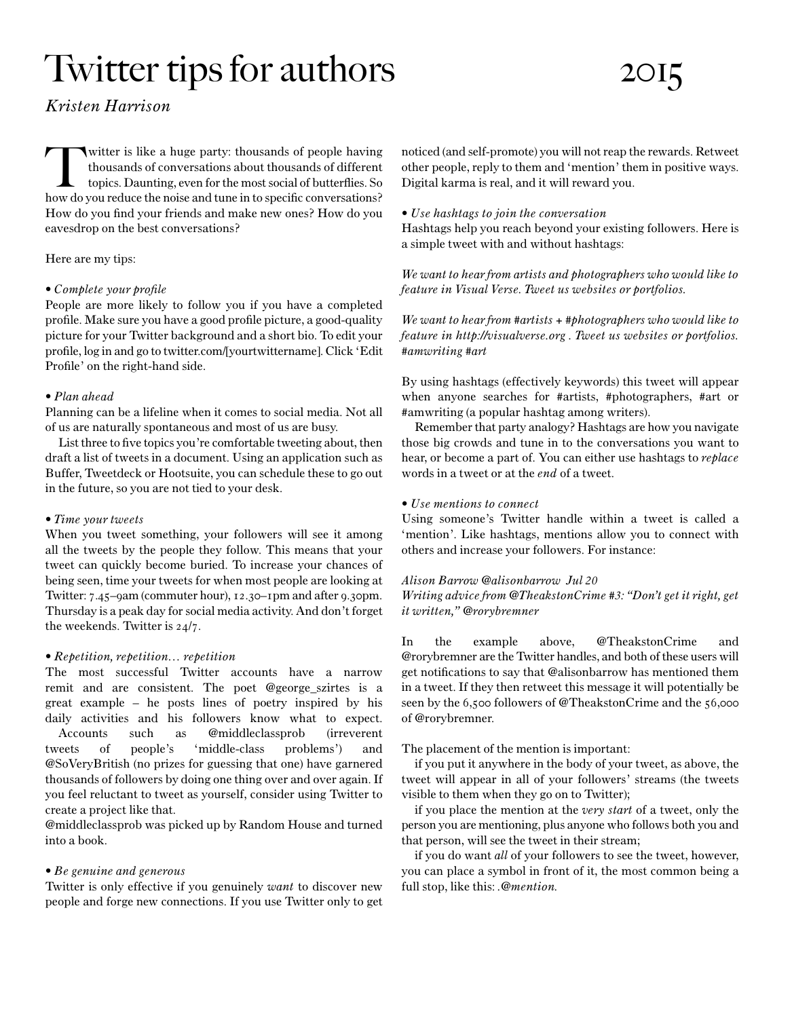# Twitter tips for authors 2015

# *Kristen Harrison*

witter is like a huge party: thousands of people having<br>thousands of conversations about thousands of different<br>topics. Daunting, even for the most social of butterflies. So<br>how do you reduce the poise and tune in to speci thousands of conversations about thousands of different topics. Daunting, even for the most social of butterflies. So how do you reduce the noise and tune in to specific conversations? How do you find your friends and make new ones? How do you eavesdrop on the best conversations?

# Here are my tips:

#### *• Complete your profile*

People are more likely to follow you if you have a completed profile. Make sure you have a good profile picture, a good-quality picture for your Twitter background and a short bio. To edit your profile, log in and go to twitter.com/[yourtwittername]. Click 'Edit Profile' on the right-hand side.

#### *• Plan ahead*

Planning can be a lifeline when it comes to social media. Not all of us are naturally spontaneous and most of us are busy.

List three to five topics you're comfortable tweeting about, then draft a list of tweets in a document. Using an application such as Buffer, Tweetdeck or Hootsuite, you can schedule these to go out in the future, so you are not tied to your desk.

#### *• Time your tweets*

When you tweet something, your followers will see it among all the tweets by the people they follow. This means that your tweet can quickly become buried. To increase your chances of being seen, time your tweets for when most people are looking at Twitter: 7.45–9am (commuter hour), 12.30–1pm and after 9.30pm. Thursday is a peak day for social media activity. And don't forget the weekends. Twitter is 24/7.

# *• Repetition, repetition… repetition*

The most successful Twitter accounts have a narrow remit and are consistent. The poet @george\_szirtes is a great example – he posts lines of poetry inspired by his daily activities and his followers know what to expect. Accounts such as @middleclassprob (irreverent tweets of people's 'middle-class problems') and @SoVeryBritish (no prizes for guessing that one) have garnered thousands of followers by doing one thing over and over again. If you feel reluctant to tweet as yourself, consider using Twitter to create a project like that.

@middleclassprob was picked up by Random House and turned into a book.

# *• Be genuine and generous*

Twitter is only effective if you genuinely *want* to discover new people and forge new connections. If you use Twitter only to get noticed (and self-promote) you will not reap the rewards. Retweet other people, reply to them and 'mention' them in positive ways. Digital karma is real, and it will reward you.

#### *• Use hashtags to join the conversation*

Hashtags help you reach beyond your existing followers. Here is a simple tweet with and without hashtags:

*We want to hear from artists and photographers who would like to feature in Visual Verse. Tweet us websites or portfolios.*

*We want to hear from #artists + #photographers who would like to feature in http://visualverse.org . Tweet us websites or portfolios. #amwriting #art*

By using hashtags (effectively keywords) this tweet will appear when anyone searches for #artists, #photographers, #art or #amwriting (a popular hashtag among writers).

Remember that party analogy? Hashtags are how you navigate those big crowds and tune in to the conversations you want to hear, or become a part of. You can either use hashtags to *replace* words in a tweet or at the *end* of a tweet.

#### *• Use mentions to connect*

Using someone's Twitter handle within a tweet is called a 'mention'. Like hashtags, mentions allow you to connect with others and increase your followers. For instance:

# *Alison Barrow @alisonbarrow Jul 20*

*Writing advice from @TheakstonCrime #3: "Don't get it right, get it written," @rorybremner*

In the example above, @TheakstonCrime and @rorybremner are the Twitter handles, and both of these users will get notifications to say that @alisonbarrow has mentioned them in a tweet. If they then retweet this message it will potentially be seen by the 6,500 followers of @TheakstonCrime and the 56,000 of @rorybremner.

# The placement of the mention is important:

if you put it anywhere in the body of your tweet, as above, the tweet will appear in all of your followers' streams (the tweets visible to them when they go on to Twitter);

if you place the mention at the *very start* of a tweet, only the person you are mentioning, plus anyone who follows both you and that person, will see the tweet in their stream;

if you do want *all* of your followers to see the tweet, however, you can place a symbol in front of it, the most common being a full stop, like this: *.@mention.*